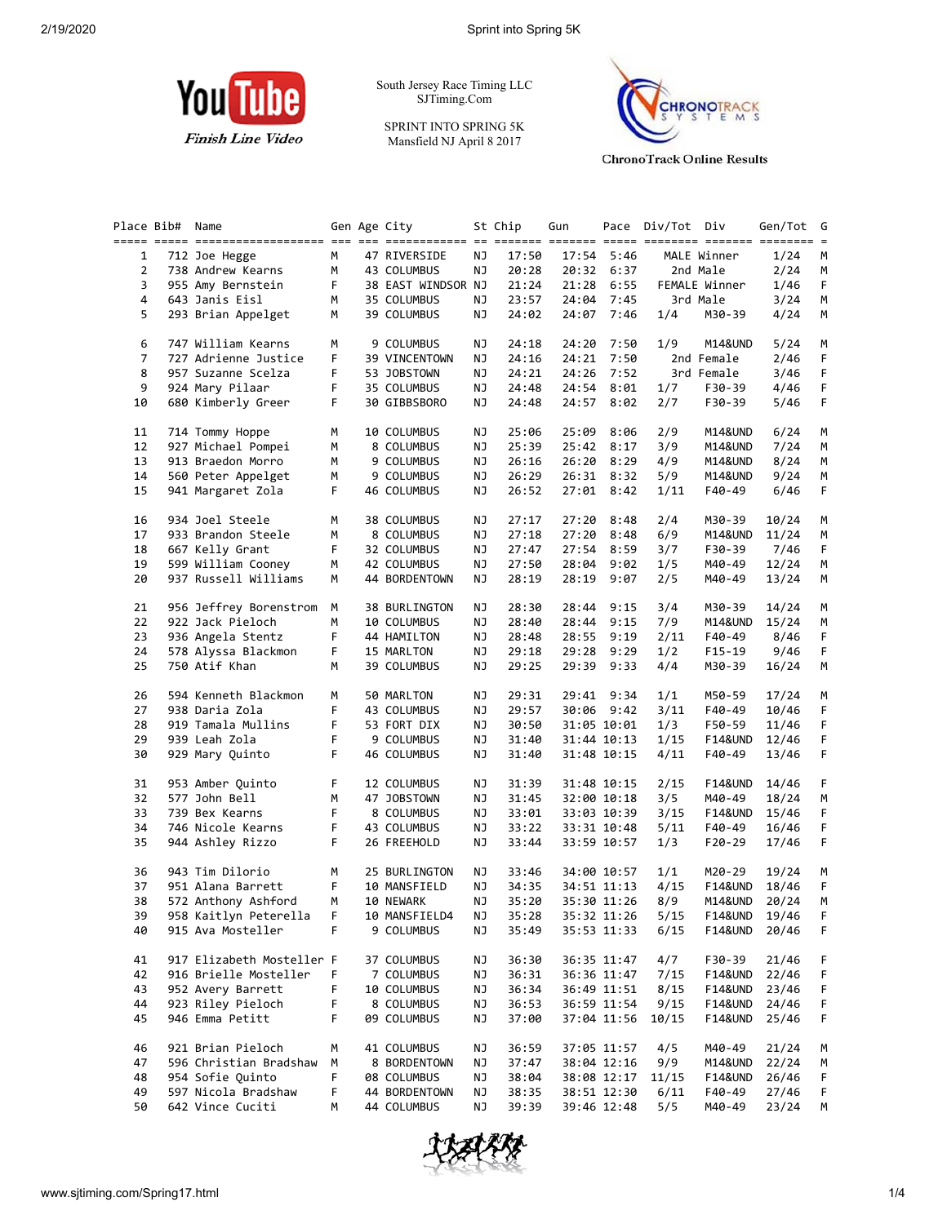

South Jersey Race Timing LLC SJTiming.Com

SPRINT INTO SPRING 5K Mansfield NJ April 8 2017



**ChronoTrack Online Results** 

|    | Place Bib# | Name                      |    | Gen Age City       |           | St Chip | Gun   |             | Pace Div/Tot Div |                    | Gen/Tot | G           |
|----|------------|---------------------------|----|--------------------|-----------|---------|-------|-------------|------------------|--------------------|---------|-------------|
| 1  |            | 712 Joe Hegge             | М  | 47 RIVERSIDE       | ΝJ        | 17:50   | 17:54 | 5:46        |                  | MALE Winner        | 1/24    | М           |
| 2  |            | 738 Andrew Kearns         | М  | 43 COLUMBUS        | ΝJ        | 20:28   |       | 20:32 6:37  |                  | 2nd Male           | 2/24    | M           |
| 3  |            |                           | F. |                    |           | 21:24   |       |             |                  |                    |         | F           |
|    |            | 955 Amy Bernstein         |    | 38 EAST WINDSOR NJ |           |         | 21:28 | 6:55        |                  | FEMALE Winner      | 1/46    |             |
| 4  |            | 643 Janis Eisl            | М  | 35 COLUMBUS        | ΝJ        | 23:57   | 24:04 | 7:45        |                  | 3rd Male           | 3/24    | M           |
| 5  |            | 293 Brian Appelget        | м  | 39 COLUMBUS        | ΝJ        | 24:02   | 24:07 | 7:46        | 1/4              | M30-39             | 4/24    | M           |
| 6  |            | 747 William Kearns        | М  | 9 COLUMBUS         | ΝJ        | 24:18   | 24:20 | 7:50        | 1/9              | M14&UND            | 5/24    | M           |
| 7  |            | 727 Adrienne Justice      | F  | 39 VINCENTOWN      | ΝJ        | 24:16   | 24:21 | 7:50        |                  | 2nd Female         | 2/46    | F           |
| 8  |            | 957 Suzanne Scelza        | F  | 53 JOBSTOWN        | ΝJ        | 24:21   | 24:26 | 7:52        |                  | 3rd Female         | 3/46    | F           |
| 9  |            | 924 Mary Pilaar           | F  | 35 COLUMBUS        | ΝJ        | 24:48   | 24:54 | 8:01        | 1/7              | F30-39             | 4/46    | F           |
| 10 |            | 680 Kimberly Greer        | F. | 30 GIBBSBORO       | ΝJ        | 24:48   | 24:57 | 8:02        | 2/7              | F30-39             | 5/46    | F           |
| 11 |            | 714 Tommy Hoppe           | М  | 10 COLUMBUS        | ΝJ        | 25:06   | 25:09 | 8:06        | 2/9              | M14&UND            | 6/24    | М           |
| 12 |            | 927 Michael Pompei        | М  | 8 COLUMBUS         | ΝJ        | 25:39   | 25:42 | 8:17        | 3/9              | M14&UND            | 7/24    | M           |
| 13 |            | 913 Braedon Morro         | M  | 9 COLUMBUS         | ΝJ        | 26:16   | 26:20 | 8:29        | 4/9              | M14&UND            | 8/24    | М           |
| 14 |            | 560 Peter Appelget        | м  | 9 COLUMBUS         | ΝJ        | 26:29   |       | 26:31 8:32  | 5/9              | M14&UND            | 9/24    | М           |
| 15 |            | 941 Margaret Zola         | F. | 46 COLUMBUS        | ΝJ        | 26:52   |       | 27:01 8:42  | 1/11             | F40-49             | 6/46    | F.          |
|    |            |                           |    |                    |           |         |       |             |                  |                    |         |             |
| 16 |            | 934 Joel Steele           | М  | 38 COLUMBUS        | ΝJ        | 27:17   | 27:20 | 8:48        | 2/4              | M30-39             | 10/24   | M           |
| 17 |            | 933 Brandon Steele        | М  | 8 COLUMBUS         | ΝJ        | 27:18   | 27:20 | 8:48        | 6/9              | M14&UND            | 11/24   | М           |
| 18 |            | 667 Kelly Grant           | F. | 32 COLUMBUS        | ΝJ        | 27:47   | 27:54 | 8:59        | 3/7              | F30-39             | 7/46    | F.          |
| 19 |            | 599 William Cooney        | м  | 42 COLUMBUS        | ΝJ        | 27:50   | 28:04 | 9:02        | 1/5              | M40-49             | 12/24   | М           |
| 20 |            | 937 Russell Williams      | М  | 44 BORDENTOWN      | ΝJ        | 28:19   | 28:19 | 9:07        | 2/5              | M40-49             | 13/24   | М           |
| 21 |            | 956 Jeffrey Borenstrom    | М  | 38 BURLINGTON      | ΝJ        | 28:30   | 28:44 | 9:15        | 3/4              | M30-39             | 14/24   | М           |
| 22 |            | 922 Jack Pieloch          | М  | 10 COLUMBUS        | ΝJ        | 28:40   | 28:44 | 9:15        | 7/9              | M14&UND            | 15/24   | M           |
| 23 |            | 936 Angela Stentz         | F  | 44 HAMILTON        | ΝJ        | 28:48   | 28:55 | 9:19        | 2/11             | F40-49             | 8/46    | F           |
| 24 |            | 578 Alyssa Blackmon       | F  | 15 MARLTON         | ΝJ        | 29:18   | 29:28 | 9:29        | 1/2              | F15-19             | 9/46    | F           |
| 25 |            | 750 Atif Khan             | М  | 39 COLUMBUS        | ΝJ        | 29:25   | 29:39 | 9:33        | 4/4              | M30-39             | 16/24   | M           |
| 26 |            | 594 Kenneth Blackmon      | М  | 50 MARLTON         | ΝJ        | 29:31   |       | 29:41 9:34  | 1/1              | M50-59             | 17/24   | M           |
| 27 |            | 938 Daria Zola            | F  | 43 COLUMBUS        | ΝJ        | 29:57   |       | 30:06 9:42  | 3/11             | F40-49             | 10/46   | F           |
| 28 |            | 919 Tamala Mullins        | F  |                    |           | 30:50   |       |             |                  |                    |         | F           |
|    |            |                           |    | 53 FORT DIX        | ΝJ        |         |       | 31:05 10:01 | 1/3              | F50-59             | 11/46   |             |
| 29 |            | 939 Leah Zola             | F  | 9 COLUMBUS         | ΝJ        | 31:40   |       | 31:44 10:13 | 1/15             | F14&UND            | 12/46   | F           |
| 30 |            | 929 Mary Quinto           | F  | 46 COLUMBUS        | ΝJ        | 31:40   |       | 31:48 10:15 | 4/11             | F40-49             | 13/46   | F           |
| 31 |            | 953 Amber Quinto          | F  | 12 COLUMBUS        | ΝJ        | 31:39   |       | 31:48 10:15 | 2/15             | <b>F14&amp;UND</b> | 14/46   | F           |
| 32 |            | 577 John Bell             | М  | 47 JOBSTOWN        | ΝJ        | 31:45   |       | 32:00 10:18 | 3/5              | M40-49             | 18/24   | M           |
| 33 |            | 739 Bex Kearns            | F  | 8 COLUMBUS         | ΝJ        | 33:01   |       | 33:03 10:39 | 3/15             | F14&UND            | 15/46   | F.          |
| 34 |            | 746 Nicole Kearns         | F  | 43 COLUMBUS        | ΝJ        | 33:22   |       | 33:31 10:48 | 5/11             | F40-49             | 16/46   | F.          |
| 35 |            | 944 Ashley Rizzo          | F. | 26 FREEHOLD        | NJ        | 33:44   |       | 33:59 10:57 | 1/3              | F20-29             | 17/46   | F.          |
| 36 |            | 943 Tim Dilorio           | М  | 25 BURLINGTON      | NJ        | 33:46   |       | 34:00 10:57 | 1/1              | M20-29             | 19/24   | М           |
| 37 |            | 951 Alana Barrett         | F  | 10 MANSFIELD       | ΝJ        | 34:35   |       | 34:51 11:13 | 4/15             | F14&UND            | 18/46   | F.          |
| 38 |            | 572 Anthony Ashford       | M  | 10 NEWARK          | ΝJ        | 35:20   |       | 35:30 11:26 | 8/9              | M14&UND            | 20/24   | M           |
| 39 |            | 958 Kaitlyn Peterella     | F. | 10 MANSFIELD4      | <b>NJ</b> | 35:28   |       | 35:32 11:26 | 5/15             | <b>F14&amp;UND</b> | 19/46   | $\mathsf F$ |
| 40 |            | 915 Ava Mosteller         | F  | 9 COLUMBUS         | ΝJ        | 35:49   |       | 35:53 11:33 | 6/15             | F14&UND            | 20/46   | F           |
|    |            |                           |    |                    |           |         |       |             |                  |                    |         |             |
| 41 |            | 917 Elizabeth Mosteller F |    | 37 COLUMBUS        | ΝJ        | 36:30   |       | 36:35 11:47 | 4/7              | F30-39             | 21/46   | F           |
| 42 |            | 916 Brielle Mosteller     | F  | 7 COLUMBUS         | ΝJ        | 36:31   |       | 36:36 11:47 | 7/15             | F14&UND            | 22/46   | F           |
| 43 |            | 952 Avery Barrett         | F  | 10 COLUMBUS        | ΝJ        | 36:34   |       | 36:49 11:51 | 8/15             | F14&UND            | 23/46   | F           |
| 44 |            | 923 Riley Pieloch         | F  | 8 COLUMBUS         | ΝJ        | 36:53   |       | 36:59 11:54 | 9/15             | F14&UND            | 24/46   | F           |
| 45 |            | 946 Emma Petitt           | F  | 09 COLUMBUS        | ΝJ        | 37:00   |       | 37:04 11:56 | 10/15            | <b>F14&amp;UND</b> | 25/46   | F           |
| 46 |            | 921 Brian Pieloch         | м  | 41 COLUMBUS        | ΝJ        | 36:59   |       | 37:05 11:57 | 4/5              | M40-49             | 21/24   | M           |
| 47 |            | 596 Christian Bradshaw    | М  | 8 BORDENTOWN       | ΝJ        | 37:47   |       | 38:04 12:16 | 9/9              | M14&UND            | 22/24   | M           |
| 48 |            | 954 Sofie Quinto          | F  | 08 COLUMBUS        | ΝJ        | 38:04   |       | 38:08 12:17 | 11/15            | <b>F14&amp;UND</b> | 26/46   | F           |
| 49 |            | 597 Nicola Bradshaw       | F  | 44 BORDENTOWN      | ΝJ        | 38:35   |       | 38:51 12:30 | 6/11             | F40-49             | 27/46   | F.          |
| 50 |            | 642 Vince Cuciti          | М  | 44 COLUMBUS        | ΝJ        | 39:39   |       | 39:46 12:48 | 5/5              | M40-49             | 23/24   | М           |
|    |            |                           |    |                    |           |         |       |             |                  |                    |         |             |

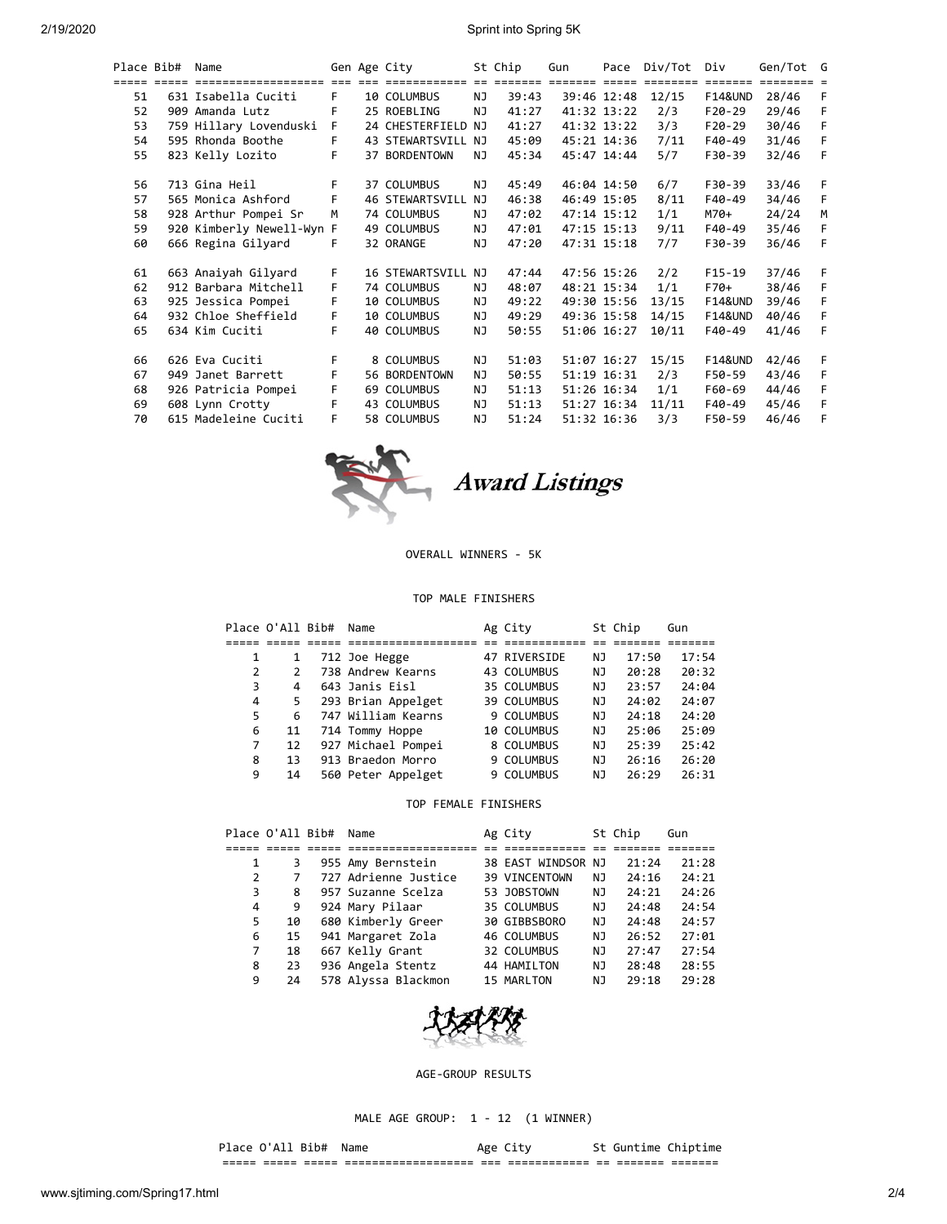2/19/2020 Sprint into Spring 5K

| Place Bib# | Name                             |    | Gen Age City           |         | St Chip                 | Gun | Pace        | Div/Tot | Div                | Gen/Tot G |   |
|------------|----------------------------------|----|------------------------|---------|-------------------------|-----|-------------|---------|--------------------|-----------|---|
|            | ===== ===== ==================== |    | and and dependences    | $=$ $=$ | $=$ $=$ $=$ $=$ $=$ $=$ |     |             |         | =======            |           |   |
| 51         | 631 Isabella Cuciti              | F. | 10 COLUMBUS            | NJ.     | 39:43                   |     | 39:46 12:48 | 12/15   | <b>F14&amp;UND</b> | 28/46     | F |
| 52         | 909 Amanda Lutz                  | F  | 25 ROEBLING            | NJ      | 41:27                   |     | 41:32 13:22 | 2/3     | $F20-29$           | 29/46     | F |
| 53         | 759 Hillary Lovenduski           | F. | 24 CHESTERFIELD NJ     |         | 41:27                   |     | 41:32 13:22 | 3/3     | $F20-29$           | 30/46     | F |
| 54         | 595 Rhonda Boothe                | F  | 43 STEWARTSVILL NJ     |         | 45:09                   |     | 45:21 14:36 | 7/11    | F40-49             | 31/46     | F |
| 55         | 823 Kelly Lozito                 | F  | 37 BORDENTOWN          | NJ.     | 45:34                   |     | 45:47 14:44 | 5/7     | F30-39             | 32/46     | F |
| 56         | 713 Gina Heil                    | F. | 37 COLUMBUS            | ΝJ      | 45:49                   |     | 46:04 14:50 | 6/7     | F30-39             | 33/46     | F |
| 57         | 565 Monica Ashford               | F  | <b>46 STEWARTSVILL</b> | NJ      | 46:38                   |     | 46:49 15:05 | 8/11    | F40-49             | 34/46     | F |
| 58         | 928 Arthur Pompei Sr             | M  | 74 COLUMBUS            | NJ.     | 47:02                   |     | 47:14 15:12 | 1/1     | M70+               | 24/24     | M |
| 59         | 920 Kimberly Newell-Wyn F        |    | 49 COLUMBUS            | NJ.     | 47:01                   |     | 47:15 15:13 | 9/11    | F40-49             | 35/46     | F |
| 60         | 666 Regina Gilyard               | F  | 32 ORANGE              | ΝJ      | 47:20                   |     | 47:31 15:18 | 7/7     | F30-39             | 36/46     | F |
| 61         | 663 Anaiyah Gilyard              | F. | 16 STEWARTSVILL NJ     |         | 47:44                   |     | 47:56 15:26 | 2/2     | $F15-19$           | 37/46     | F |
| 62         | 912 Barbara Mitchell             | F. | 74 COLUMBUS            | ΝJ      | 48:07                   |     | 48:21 15:34 | 1/1     | $F70+$             | 38/46     | F |
| 63         | 925 Jessica Pompei               | F  | 10 COLUMBUS            | NJ.     | 49:22                   |     | 49:30 15:56 | 13/15   | <b>F14&amp;UND</b> | 39/46     | F |
| 64         | 932 Chloe Sheffield              | F  | 10 COLUMBUS            | NJ      | 49:29                   |     | 49:36 15:58 | 14/15   | <b>F14&amp;UND</b> | 40/46     | F |
| 65         | 634 Kim Cuciti                   | F  | 40 COLUMBUS            | NJ.     | 50:55                   |     | 51:06 16:27 | 10/11   | F40-49             | 41/46     | F |
| 66         | 626 Eva Cuciti                   | F. | 8 COLUMBUS             | ΝJ      | 51:03                   |     | 51:07 16:27 | 15/15   | <b>F14&amp;UND</b> | 42/46     | F |
| 67         | 949 Janet Barrett                | F  | 56 BORDENTOWN          | ΝJ      | 50:55                   |     | 51:19 16:31 | 2/3     | F50-59             | 43/46     | F |
| 68         | 926 Patricia Pompei              | F  | 69 COLUMBUS            | ΝJ      | 51:13                   |     | 51:26 16:34 | 1/1     | F60-69             | 44/46     | F |
| 69         | 608 Lynn Crotty                  | F  | 43 COLUMBUS            | NJ.     | 51:13                   |     | 51:27 16:34 | 11/11   | F40-49             | 45/46     | F |
| 70         | 615 Madeleine Cuciti             | F  | 58 COLUMBUS            | NJ      | 51:24                   |     | 51:32 16:36 | 3/3     | F50-59             | 46/46     | F |



Award Listings

OVERALL WINNERS - 5K

## TOP MALE FINISHERS

|   | Place O'All Bib# | Name               | Ag City            |     | St Chip | Gun   |
|---|------------------|--------------------|--------------------|-----|---------|-------|
|   |                  |                    |                    |     |         |       |
|   |                  | 712 Joe Hegge      | 47 RIVERSIDE       | ΝJ  | 17:50   | 17:54 |
|   | $\mathcal{P}$    | 738 Andrew Kearns  | 43 COLUMBUS        | ΝJ  | 20:28   | 20:32 |
|   | 3<br>4           | 643 Janis Eisl     | 35 COLUMBUS        | ΝJ  | 23:57   | 24:04 |
|   | 4<br>5.          | 293 Brian Appelget | 39 COLUMBUS        | ΝJ  | 24:02   | 24:07 |
|   | 5.<br>6          | 747 William Kearns | 9 COLUMBUS         | ΝJ  | 24:18   | 24:20 |
|   | 6<br>11          | 714 Tommy Hoppe    | <b>10 COLUMBUS</b> | NJ. | 25:06   | 25:09 |
|   | 7<br>12          | 927 Michael Pompei | 8 COLUMBUS         | ΝJ  | 25:39   | 25:42 |
| 8 | 13               | 913 Braedon Morro  | 9 COLUMBUS         | ΝJ  | 26:16   | 26:20 |
| 9 | 14               | 560 Peter Appelget | 9 COLUMBUS         | ΝJ  | 26:29   | 26:31 |

## TOP FEMALE FINISHERS

|    | Place O'All Bib# | Name                 | Ag City            |     | St Chip | Gun   |
|----|------------------|----------------------|--------------------|-----|---------|-------|
|    |                  |                      |                    |     |         |       |
| 1  |                  | 955 Amy Bernstein    | 38 EAST WINDSOR NJ |     | 21:24   | 21:28 |
| 2  |                  | 727 Adrienne Justice | 39 VINCENTOWN      | ΝJ  | 24:16   | 24:21 |
| 3  | 8                | 957 Suzanne Scelza   | 53 JOBSTOWN        | ΝJ  | 24:21   | 24:26 |
| 4  | 9                | 924 Mary Pilaar      | 35 COLUMBUS        | NJ. | 24:48   | 24:54 |
| 5. | 10               | 680 Kimberly Greer   | 30 GIBBSBORO       | NJ. | 24:48   | 24:57 |
| 6  | 15               | 941 Margaret Zola    | 46 COLUMBUS        | ΝJ  | 26:52   | 27:01 |
| 7  | 18               | 667 Kelly Grant      | 32 COLUMBUS        | ΝJ  | 27:47   | 27:54 |
| 8  | 23               | 936 Angela Stentz    | 44 HAMILTON        | ΝJ  | 28:48   | 28:55 |
| 9  | 24               | 578 Alyssa Blackmon  | 15 MARLTON         | ΝJ  | 29:18   | 29:28 |



AGE-GROUP RESULTS

MALE AGE GROUP: 1 - 12 (1 WINNER)

## Place O'All Bib# Name Age City St Guntime Chiptime

===== ===== ===== =================== === ============ == ======= =======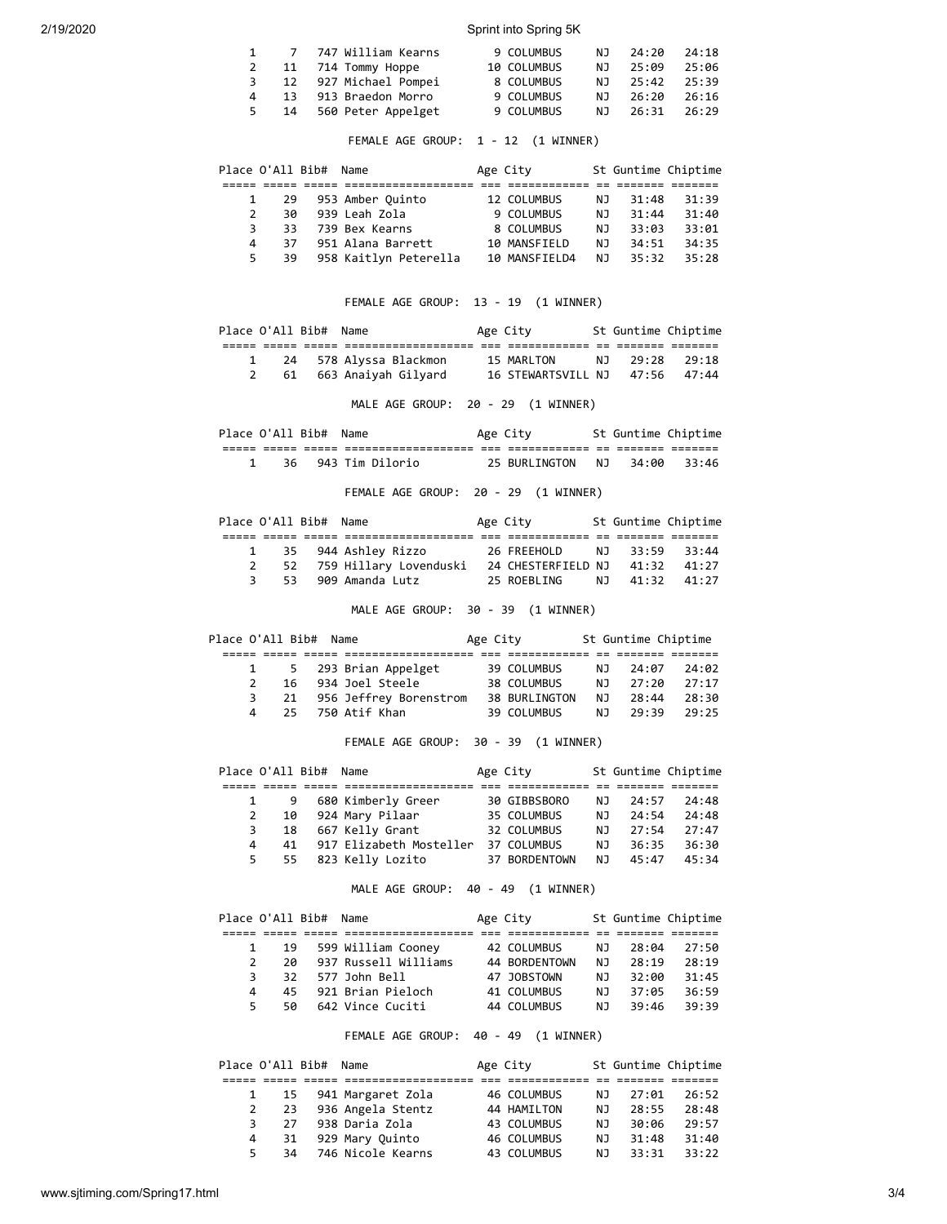2/19/2020 Sprint into Spring 5K

|   | 1 7 747 William Kearns | 9 COLUMBUS  |    | NJ 24:20       | 24:18 |
|---|------------------------|-------------|----|----------------|-------|
|   | 11 714 Tommy Hoppe     | 10 COLUMBUS |    | NJ 25:09       | 25:06 |
| 3 | 12 927 Michael Pompei  | 8 COLUMBUS  | NJ | 25:42          | 25:39 |
| 4 | 13 913 Braedon Morro   | 9 COLUMBUS  |    | NJ 26:20       | 26:16 |
| 5 | 14 560 Peter Appelget  | 9 COLUMBUS  |    | NJ 26:31 26:29 |       |

FEMALE AGE GROUP: 1 - 12 (1 WINNER)

|               | Place O'All Bib# Name |                       | Age City      |     | St Guntime Chiptime |       |
|---------------|-----------------------|-----------------------|---------------|-----|---------------------|-------|
|               |                       |                       |               |     |                     |       |
|               | -29<br>$\mathbf{1}$   | 953 Amber Ouinto      | 12 COLUMBUS   | NJ. | 31:48               | 31:39 |
| $\mathcal{P}$ | 30                    | 939 Leah Zola         | 9 COLUMBUS    | NJ. | 31:44               | 31:40 |
| 3             | 33.                   | 739 Bex Kearns        | 8 COLUMBUS    | NJ. | 33:03               | 33:01 |
| 4             | 37                    | 951 Alana Barrett     | 10 MANSFIELD  | NJ. | 34:51               | 34:35 |
| 5.            | 39                    | 958 Kaitlyn Peterella | 10 MANSFIELD4 | NJ. | 35:32               | 35:28 |

FEMALE AGE GROUP: 13 - 19 (1 WINNER)

| Place O'All Bib# Name |                          | Age City                       |                | St Guntime Chiptime |
|-----------------------|--------------------------|--------------------------------|----------------|---------------------|
|                       |                          |                                |                |                     |
|                       | 1 24 578 Alyssa Blackmon | 15 MARLTON                     | NJ 29:28 29:18 |                     |
|                       | 61 663 Anaiyah Gilyard   | 16 STEWARTSVILL NJ 47:56 47:44 |                |                     |

MALE AGE GROUP: 20 - 29 (1 WINNER)

|  | Place O'All Bib# | Name               | Age City      |     |       | St Guntime Chiptime |  |
|--|------------------|--------------------|---------------|-----|-------|---------------------|--|
|  |                  |                    |               |     |       |                     |  |
|  |                  | 36 943 Tim Dilorio | 25 BURLINGTON | NJ. | 34:00 | 33:46               |  |

FEMALE AGE GROUP: 20 - 29 (1 WINNER)

| Place O'All Bib# Name |  |                           | Age City                       |  | St Guntime Chiptime |
|-----------------------|--|---------------------------|--------------------------------|--|---------------------|
|                       |  |                           |                                |  |                     |
|                       |  | 1 35 944 Ashley Rizzo     | 26 FREEHOLD NJ 33:59 33:44     |  |                     |
|                       |  | 52 759 Hillary Lovenduski | 24 CHESTERFIELD NJ 41:32 41:27 |  |                     |
|                       |  | 3 53 909 Amanda Lutz      | 25 ROEBLING NJ 41:32 41:27     |  |                     |

MALE AGE GROUP: 30 - 39 (1 WINNER)

| Place O'All Bib# Name |               |  |                           | Age City |                      |     | St Guntime Chiptime |       |
|-----------------------|---------------|--|---------------------------|----------|----------------------|-----|---------------------|-------|
|                       |               |  |                           |          |                      |     |                     |       |
|                       |               |  | 5 293 Brian Appelget      |          | 39 COLUMBUS          | N T | 24:07               | 24:02 |
|                       | $\mathcal{P}$ |  | 16 934 Joel Steele        |          | 38 COLUMBUS          | N J | 27:20               | 27:17 |
|                       | 3             |  | 21 956 Jeffrey Borenstrom |          | <b>38 BURLINGTON</b> | NJ. | 28:44               | 28:30 |
|                       | 4             |  | 25 750 Atif Khan          |          | 39 COLUMBUS          |     | NJ 29:39            | 79:25 |

FEMALE AGE GROUP: 30 - 39 (1 WINNER)

|   |    | Place O'All Bib# Name |                         | Age City      |     | St Guntime Chiptime |       |
|---|----|-----------------------|-------------------------|---------------|-----|---------------------|-------|
|   |    |                       |                         |               |     |                     |       |
|   | 9  |                       | 680 Kimberly Greer      | 30 GIBBSBORO  | NJ. | 24:57               | 24:48 |
| 2 | 10 |                       | 924 Mary Pilaar         | 35 COLUMBUS   | NJ. | 24:54               | 24:48 |
| 3 | 18 |                       | 667 Kelly Grant         | 32 COLUMBUS   | NJ. | 27:54               | 27:47 |
| 4 | 41 |                       | 917 Elizabeth Mosteller | 37 COLUMBUS   | NJ. | 36:35               | 36:30 |
| 5 | 55 |                       | 823 Kelly Lozito        | 37 BORDENTOWN | NJ. | 45:47               | 45:34 |

MALE AGE GROUP: 40 - 49 (1 WINNER)

| Place O'All Bib# Name |     |                      | Age City      |     | St Guntime Chiptime |       |
|-----------------------|-----|----------------------|---------------|-----|---------------------|-------|
|                       |     |                      |               |     |                     |       |
|                       | 19  | 599 William Cooney   | 42 COLUMBUS   | NJ. | 28:04               | 27:50 |
| $\mathcal{L}$         | 2Q  | 937 Russell Williams | 44 BORDENTOWN | NJ. | 28:19               | 28:19 |
| 3                     | 32. | 577 John Bell        | 47 JOBSTOWN   | ΝJ  | 32:00               | 31:45 |
| 4                     | 45  | 921 Brian Pieloch    | 41 COLUMBUS   | ΝJ  | 37:05               | 36:59 |
| 5                     | 50  | 642 Vince Cuciti     | 44 COLUMBUS   | NJ. | 39:46               | 39:39 |

FEMALE AGE GROUP: 40 - 49 (1 WINNER)

|   |    | Place O'All Bib# Name |                        | Age City    |     | St Guntime Chiptime |       |
|---|----|-----------------------|------------------------|-------------|-----|---------------------|-------|
|   |    |                       |                        |             |     |                     |       |
|   |    |                       | 1 15 941 Margaret Zola | 46 COLUMBUS | NJ. | 27:01               | 26:52 |
|   | 23 |                       | 936 Angela Stentz      | 44 HAMILTON | NJ. | 28:55               | 28:48 |
| 3 | 27 |                       | 938 Daria Zola         | 43 COLUMBUS | ΝJ  | 30:06               | 29:57 |
| 4 | 31 |                       | 929 Mary Quinto        | 46 COLUMBUS | NJ. | 31:48               | 31:40 |
| 5 | 34 |                       | 746 Nicole Kearns      | 43 COLUMBUS | NJ. | 33:31               | 33:22 |